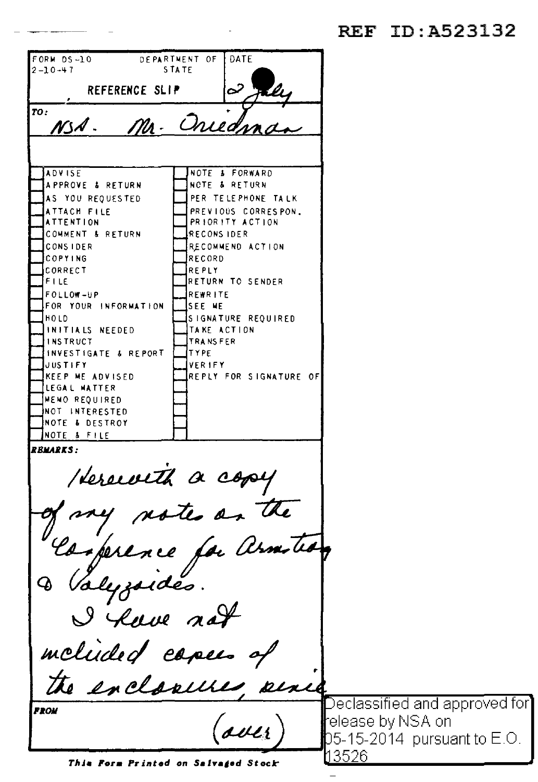REF TD: A523132

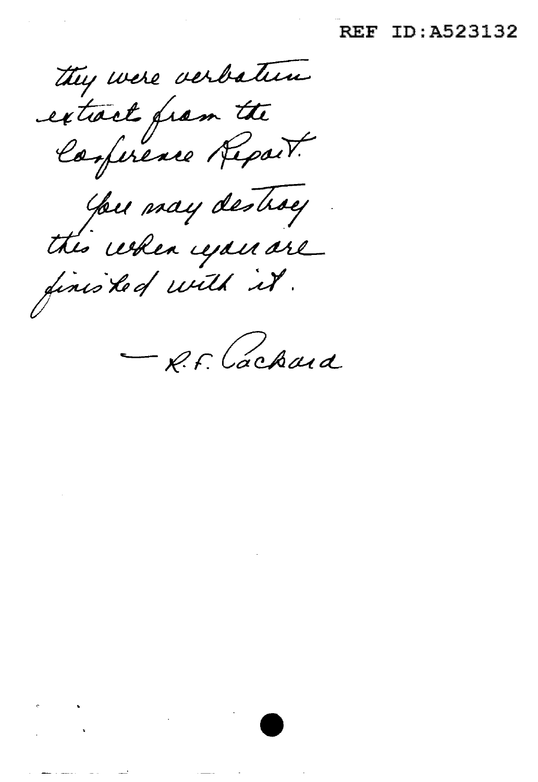### **REF ID:A523132**

they were verbatum extract from the You may destroy the when you are finished with it.

 $\sigma_{\rm{max}}=0.000$  $\frac{1}{2}$  ,  $\frac{1}{2}$  ,  $\frac{1}{2}$  ,  $\frac{1}{2}$  ,  $\frac{1}{2}$  ,  $\frac{1}{2}$ 

فكالمعارض والمستحسن

R.F. Cachaid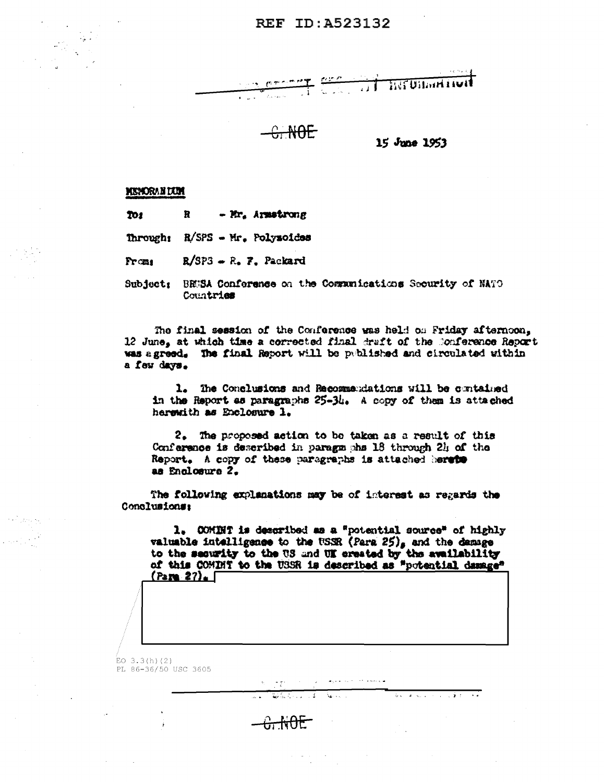## REF ID: A523132



 $-$ <del> $\&$  NOE</del>

15 June 1953

#### **MINORAN DUM**

Tos  $\mathbf{R}$ - Mr. Armstrong

Through: R/SPS - Mr. Polysoides

 $R/SP3 - R$ . 7. Packard Prom<sub>1</sub>

Subject: BEGSA Conference on the Communications Security of NATO Countries

The final session of the Conference was held on Friday afternoon, 12 June, at which time a corrected final draft of the Conference Report was agreed. The final Report will be published and circulated within a few days.

1. The Conclusions and Recommendations will be cuntained in the Report as paragraphs 25-34. A copy of them is attached herewith as Enclosure 1.

2. The proposed action to be taken as a result of this Conference is described in paragements 18 through 24 of the Report. A copy of these paragraphs is attached herets as Enclosure 2.

The following explanations may be of interest as regards the Conclusions:

 $\mathcal{H}^{\pm}=\mathcal{H}^{\pm}(\mathcal{D})$ 

 $-6.10E$ 

 $\sqrt{2\pi\sqrt{2}+2\sqrt{2}}$ 

1. COMBNT is described as a "potential source" of highly valuable intelligence to the USSR (Para 25), and the damage to the security to the US and UK created by the availability of this COMINT to the USSR is described as "potential damage"  $($ Para 27).

ال المحمد

الواقت المائية المناطقة المجا

 $EO$  3.3(h)(2) PL 86-36/50 USC 3605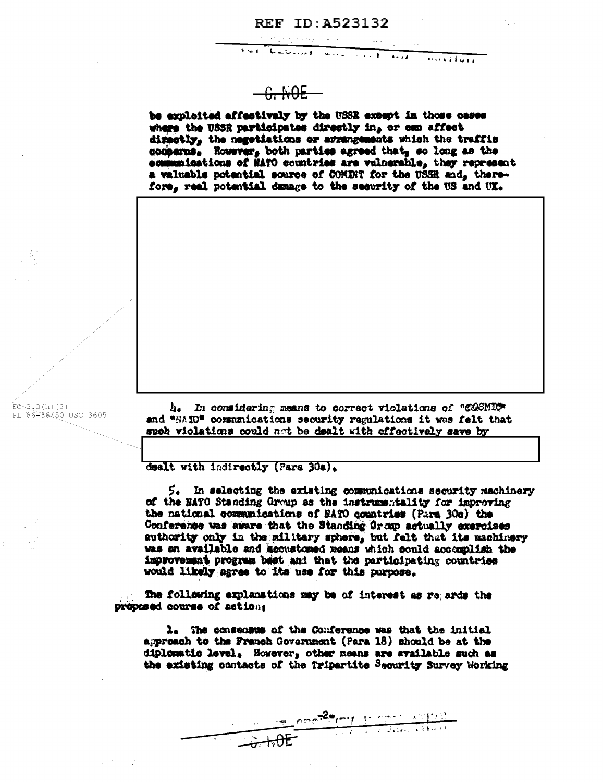#### **REF ID:A523132**

 $\overline{1}$ 

 $\sqrt{1+i\sqrt{1+i}}$ 

 $G$  NOE

الاست فا

الأمار ومنابطته

be exploited effectively by the USSR except in those cases where the USSR participates directly in, or can affect directly, the negotiations or arrangements which the traffic conserns. However, both parties agreed that, so long as the communications of MATO countries are valuerable, they represent a valuable potential source of COMINT for the USSR and, therefore, real potential damage to the security of the US and UK.

 $E0 - 3.3(h)(2)$ PL 86-36/50 USC 3605

4. In considering means to correct violations of "COSMIC" and "HAIO" communications security regulations it was felt that such violations could not be dealt with effectively save by

dealt with indirectly (Para 30a).

5. In selecting the existing communications security machinery of the HATO Standing Group as the instrumentality for improving the national communications of EATO countries (Para 30s) the Conference was aware that the Standing Or oup actually exercises suthority only in the military sphere, but felt that its machinery was an available and accustomed means which could accomplish the improvement program best and that the participating countries would likely agree to its use for this purpose.

The following explanations may be of interest as regards the proposed course of actions

1. The consensus of the Conference was that the initial approach to the Franch Government (Para 18) should be at the diplomatic level, However, other means are svailable such as the existing contacts of the Tripartite Security Survey Working

material property (1995)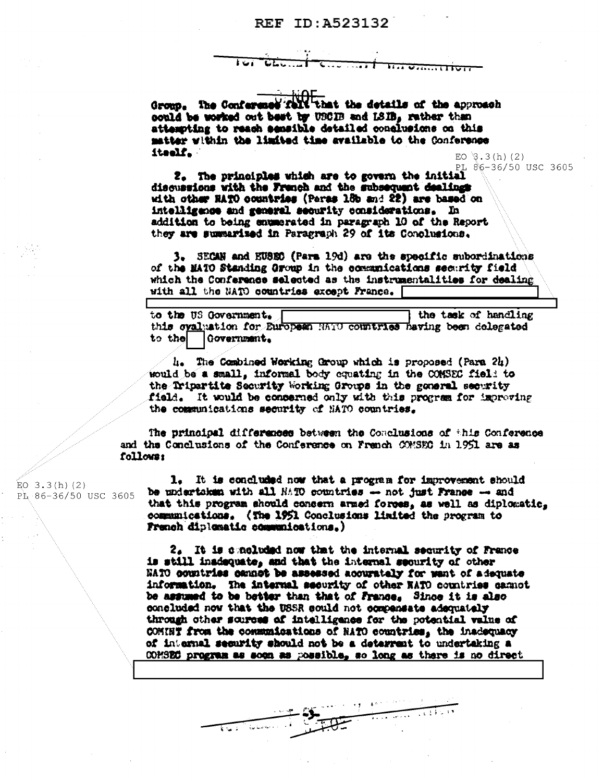#### REF ID: A523132

Group. The Conference foll that the details of the approach could be worked out best by USCIB and LSIB. rather than attempting to reach semaible detailed conclusions on this matter within the limited time available to the Conference itself.

 $EO$  3.3(h)(2) PL 86-36/50 USC 3605

2. The principles which are to govern the initial discussions with the French and the subsequent dealings with other RATO countries (Paras 15b and 22) are based on intelligence and general security considerations. In addition to being enumerated in paragraph 10 of the Report they are summarized in Paragraph 29 of its Conclusions.

3. SECAN and EUSEC (Para 19d) are the specific subordinations of the MATO Standing Oroup in the communications security field which the Conference selected as the instrumentalities for dealing with all the NATO countries except France.

to the US Government. the task of handling this ovaluation for European HATO countries having been delegated to the Government.

4. The Combined Working Group which is proposed (Para 24) would be a small, informal body equating in the COMSEC field to the Tripartite Security Working Groups in the general security field. It would be concerned only with this program for improving the communications security of NATO countries.

The principal differences between the Conclusions of this Conference and the Conclusions of the Conference on Franch COMSEC in 1951 are as follows:

1. It is concluded now that a program for improvement should be undertaken with all HATO countries -- not just France -- and that this program should concern armed forces, as well as diplomatic. communications. (The 1951 Conclusions limited the program to French diplematic communications.)

2. It is concluded now that the internal security of France is still inadequate, and that the internal security of other NATO countries cannot be assessed acourately for want of adequate information. The internal security of other NATO countries cannot be assumed to be better than that of France. Since it is also concluded now that the USSR could not companists adequately through other scurees of intelligence for the potential value of COMINT from the communications of NATO countries, the inadequacy of internal security should not be a deterrent to undertaking a COMSEC program as soon as possible, so long as there is no direct

The Town of Can

EO  $3.3(h)$  (2) PL 86-36/50 USC 3605